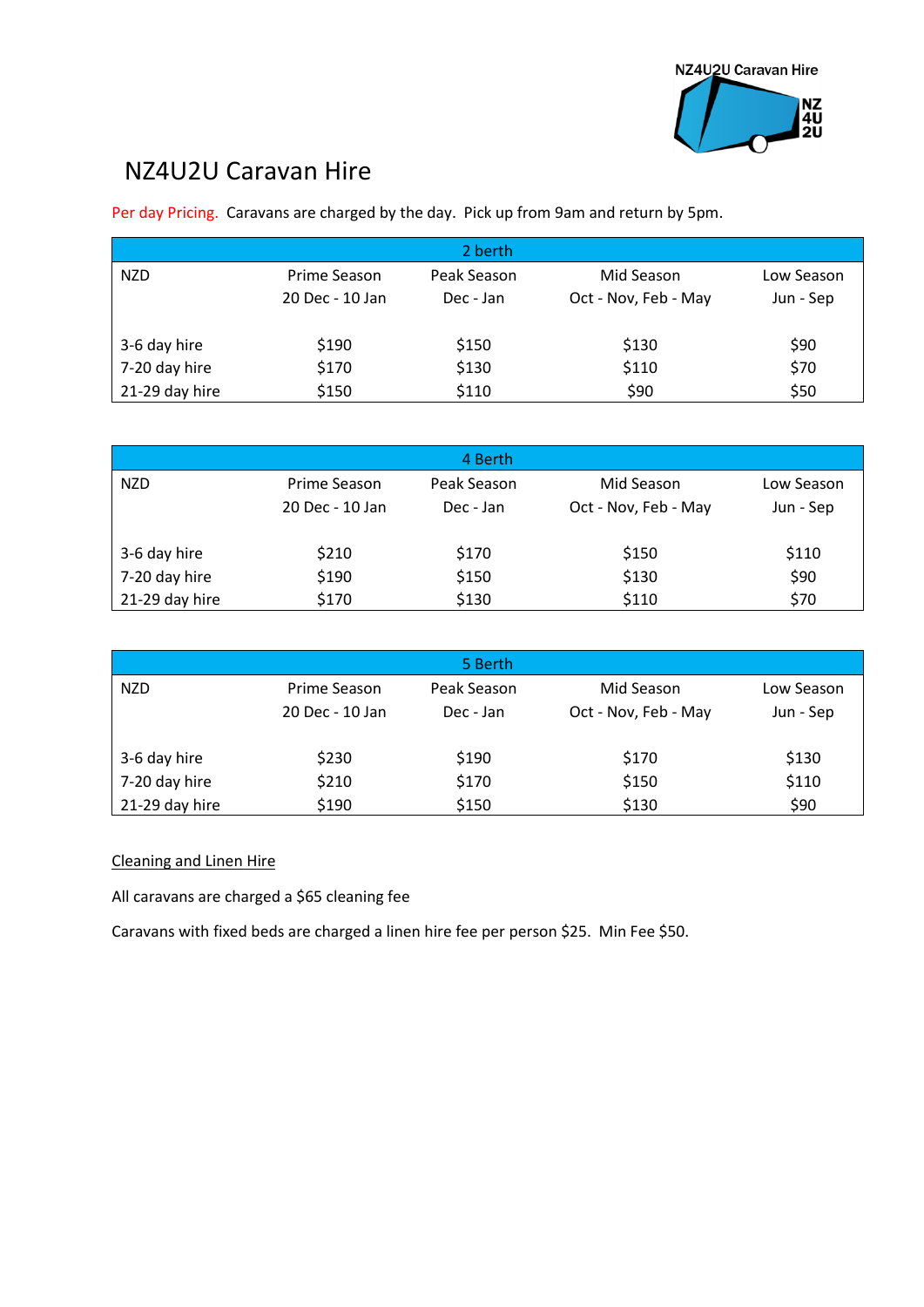## NZ4U2U Caravan Hire

Per day Pricing. Caravans are charged by the day. Pick up from 9am and return by 5pm.

|                |                 | 2 berth     |                      |            |
|----------------|-----------------|-------------|----------------------|------------|
| <b>NZD</b>     | Prime Season    | Peak Season | Mid Season           | Low Season |
|                | 20 Dec - 10 Jan | Dec - Jan   | Oct - Nov, Feb - May | Jun - Sep  |
| 3-6 day hire   | \$190           | \$150       | \$130                | \$90       |
| 7-20 day hire  | \$170           | \$130       | \$110                | \$70       |
| 21-29 day hire | \$150           | \$110       | \$90                 | \$50       |

|                |                 | 4 Berth     |                      |            |
|----------------|-----------------|-------------|----------------------|------------|
| <b>NZD</b>     | Prime Season    | Peak Season | Mid Season           | Low Season |
|                | 20 Dec - 10 Jan | Dec - Jan   | Oct - Nov, Feb - May | Jun - Sep  |
| 3-6 day hire   | \$210           | \$170       | \$150                | \$110      |
| 7-20 day hire  | \$190           | \$150       | \$130                | \$90       |
| 21-29 day hire | \$170           | \$130       | \$110                | \$70       |

|                |                 | 5 Berth     |                      |            |
|----------------|-----------------|-------------|----------------------|------------|
| <b>NZD</b>     | Prime Season    | Peak Season | Mid Season           | Low Season |
|                | 20 Dec - 10 Jan | Dec - Jan   | Oct - Nov, Feb - May | Jun - Sep  |
| 3-6 day hire   | \$230           | \$190       | \$170                | \$130      |
|                |                 |             |                      |            |
| 7-20 day hire  | \$210           | \$170       | \$150                | \$110      |
| 21-29 day hire | \$190           | \$150       | \$130                | \$90       |

## Cleaning and Linen Hire

All caravans are charged a \$65 cleaning fee

Caravans with fixed beds are charged a linen hire fee per person \$25. Min Fee \$50.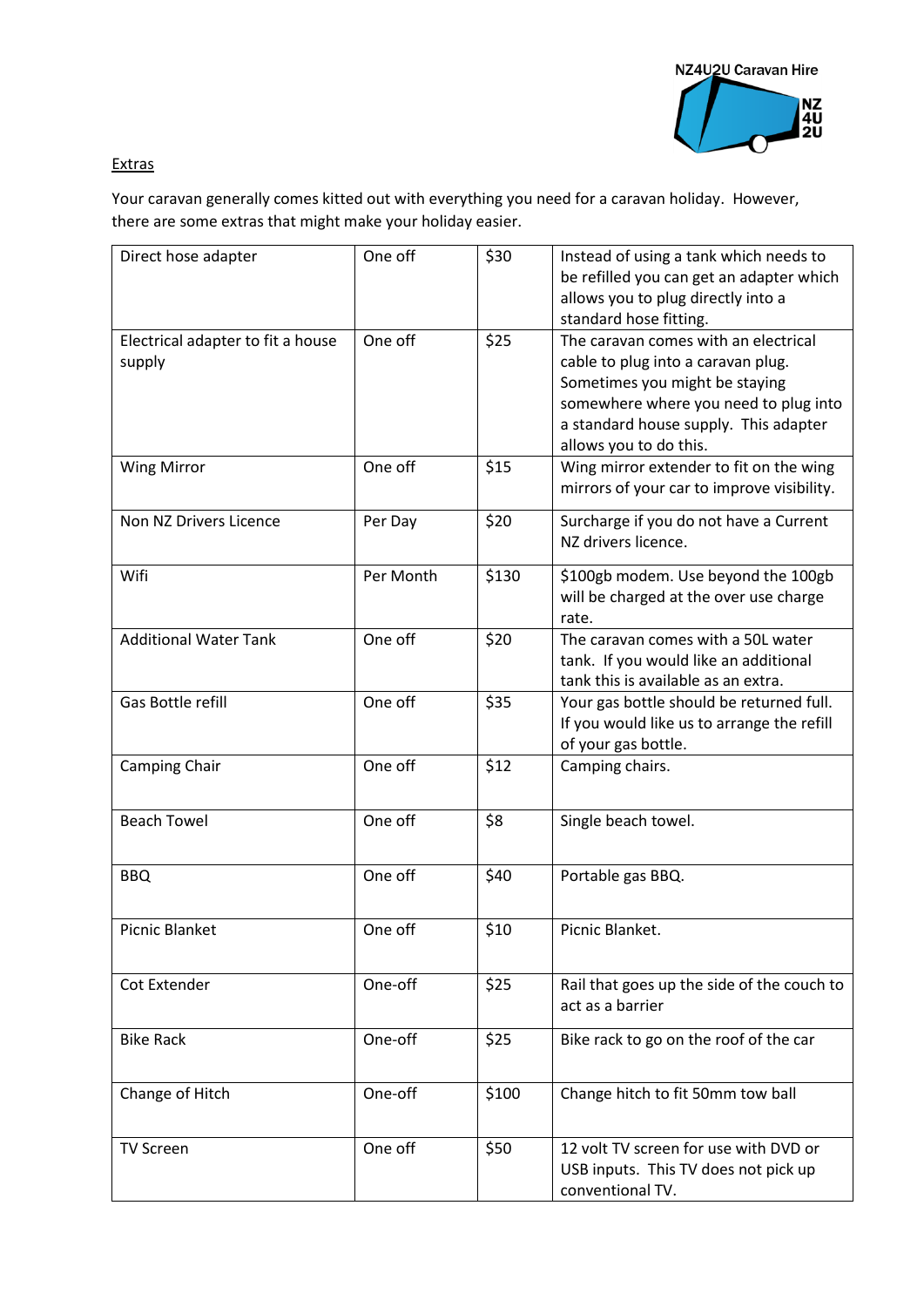

## Extras

Your caravan generally comes kitted out with everything you need for a caravan holiday. However, there are some extras that might make your holiday easier.

| Direct hose adapter                         | One off   | \$30  | Instead of using a tank which needs to<br>be refilled you can get an adapter which<br>allows you to plug directly into a<br>standard hose fitting.                                                                       |
|---------------------------------------------|-----------|-------|--------------------------------------------------------------------------------------------------------------------------------------------------------------------------------------------------------------------------|
| Electrical adapter to fit a house<br>supply | One off   | \$25  | The caravan comes with an electrical<br>cable to plug into a caravan plug.<br>Sometimes you might be staying<br>somewhere where you need to plug into<br>a standard house supply. This adapter<br>allows you to do this. |
| <b>Wing Mirror</b>                          | One off   | \$15  | Wing mirror extender to fit on the wing<br>mirrors of your car to improve visibility.                                                                                                                                    |
| Non NZ Drivers Licence                      | Per Day   | \$20  | Surcharge if you do not have a Current<br>NZ drivers licence.                                                                                                                                                            |
| Wifi                                        | Per Month | \$130 | \$100gb modem. Use beyond the 100gb<br>will be charged at the over use charge<br>rate.                                                                                                                                   |
| <b>Additional Water Tank</b>                | One off   | \$20  | The caravan comes with a 50L water<br>tank. If you would like an additional<br>tank this is available as an extra.                                                                                                       |
| Gas Bottle refill                           | One off   | \$35  | Your gas bottle should be returned full.<br>If you would like us to arrange the refill<br>of your gas bottle.                                                                                                            |
| Camping Chair                               | One off   | \$12  | Camping chairs.                                                                                                                                                                                                          |
| <b>Beach Towel</b>                          | One off   | \$8   | Single beach towel.                                                                                                                                                                                                      |
| <b>BBQ</b>                                  | One off   | \$40  | Portable gas BBQ.                                                                                                                                                                                                        |
| Picnic Blanket                              | One off   | \$10  | Picnic Blanket.                                                                                                                                                                                                          |
| Cot Extender                                | One-off   | \$25  | Rail that goes up the side of the couch to<br>act as a barrier                                                                                                                                                           |
| <b>Bike Rack</b>                            | One-off   | \$25  | Bike rack to go on the roof of the car                                                                                                                                                                                   |
| Change of Hitch                             | One-off   | \$100 | Change hitch to fit 50mm tow ball                                                                                                                                                                                        |
| <b>TV Screen</b>                            | One off   | \$50  | 12 volt TV screen for use with DVD or<br>USB inputs. This TV does not pick up<br>conventional TV.                                                                                                                        |